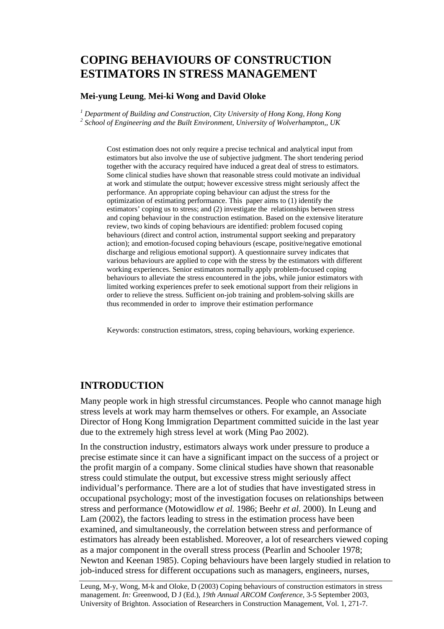# **COPING BEHAVIOURS OF CONSTRUCTION ESTIMATORS IN STRESS MANAGEMENT**

#### **Mei-yung Leung**, **Mei-ki Wong and David Oloke**

<sup>1</sup> Department of Building and Construction, City University of Hong Kong, Hong Kong *2 School of Engineering and the Built Environment, University of Wolverhampton,, UK* 

Cost estimation does not only require a precise technical and analytical input from estimators but also involve the use of subjective judgment. The short tendering period together with the accuracy required have induced a great deal of stress to estimators. Some clinical studies have shown that reasonable stress could motivate an individual at work and stimulate the output; however excessive stress might seriously affect the performance. An appropriate coping behaviour can adjust the stress for the optimization of estimating performance. This paper aims to (1) identify the estimators' coping us to stress; and (2) investigate the relationships between stress and coping behaviour in the construction estimation. Based on the extensive literature review, two kinds of coping behaviours are identified: problem focused coping behaviours (direct and control action, instrumental support seeking and preparatory action); and emotion-focused coping behaviours (escape, positive/negative emotional discharge and religious emotional support). A questionnaire survey indicates that various behaviours are applied to cope with the stress by the estimators with different working experiences. Senior estimators normally apply problem-focused coping behaviours to alleviate the stress encountered in the jobs, while junior estimators with limited working experiences prefer to seek emotional support from their religions in order to relieve the stress. Sufficient on-job training and problem-solving skills are thus recommended in order to improve their estimation performance

Keywords: construction estimators, stress, coping behaviours, working experience.

### **INTRODUCTION**

Many people work in high stressful circumstances. People who cannot manage high stress levels at work may harm themselves or others. For example, an Associate Director of Hong Kong Immigration Department committed suicide in the last year due to the extremely high stress level at work (Ming Pao 2002).

In the construction industry, estimators always work under pressure to produce a precise estimate since it can have a significant impact on the success of a project or the profit margin of a company. Some clinical studies have shown that reasonable stress could stimulate the output, but excessive stress might seriously affect individual's performance. There are a lot of studies that have investigated stress in occupational psychology; most of the investigation focuses on relationships between stress and performance (Motowidlow *et al.* 1986; Beehr *et al.* 2000). In Leung and Lam (2002), the factors leading to stress in the estimation process have been examined, and simultaneously, the correlation between stress and performance of estimators has already been established. Moreover, a lot of researchers viewed coping as a major component in the overall stress process (Pearlin and Schooler 1978; Newton and Keenan 1985). Coping behaviours have been largely studied in relation to job-induced stress for different occupations such as managers, engineers, nurses,

Leung, M-y, Wong, M-k and Oloke, D (2003) Coping behaviours of construction estimators in stress management. *In:* Greenwood, D J (Ed.), *19th Annual ARCOM Conference*, 3-5 September 2003, University of Brighton. Association of Researchers in Construction Management, Vol. 1, 271-7.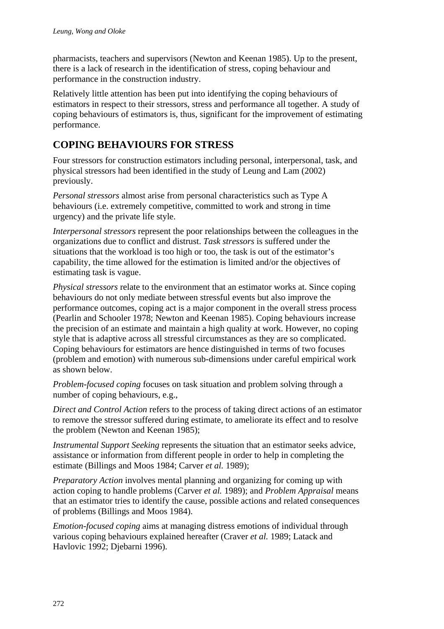pharmacists, teachers and supervisors (Newton and Keenan 1985). Up to the present, there is a lack of research in the identification of stress, coping behaviour and performance in the construction industry.

Relatively little attention has been put into identifying the coping behaviours of estimators in respect to their stressors, stress and performance all together. A study of coping behaviours of estimators is, thus, significant for the improvement of estimating performance.

## **COPING BEHAVIOURS FOR STRESS**

Four stressors for construction estimators including personal, interpersonal, task, and physical stressors had been identified in the study of Leung and Lam (2002) previously.

*Personal stressors* almost arise from personal characteristics such as Type A behaviours (i.e. extremely competitive, committed to work and strong in time urgency) and the private life style.

*Interpersonal stressors* represent the poor relationships between the colleagues in the organizations due to conflict and distrust. *Task stressors* is suffered under the situations that the workload is too high or too, the task is out of the estimator's capability, the time allowed for the estimation is limited and/or the objectives of estimating task is vague.

*Physical stressors* relate to the environment that an estimator works at. Since coping behaviours do not only mediate between stressful events but also improve the performance outcomes, coping act is a major component in the overall stress process (Pearlin and Schooler 1978; Newton and Keenan 1985). Coping behaviours increase the precision of an estimate and maintain a high quality at work. However, no coping style that is adaptive across all stressful circumstances as they are so complicated. Coping behaviours for estimators are hence distinguished in terms of two focuses (problem and emotion) with numerous sub-dimensions under careful empirical work as shown below.

*Problem-focused coping* focuses on task situation and problem solving through a number of coping behaviours, e.g.,

*Direct and Control Action* refers to the process of taking direct actions of an estimator to remove the stressor suffered during estimate, to ameliorate its effect and to resolve the problem (Newton and Keenan 1985);

*Instrumental Support Seeking* represents the situation that an estimator seeks advice, assistance or information from different people in order to help in completing the estimate (Billings and Moos 1984; Carver *et al.* 1989);

*Preparatory Action* involves mental planning and organizing for coming up with action coping to handle problems (Carver *et al.* 1989); and *Problem Appraisal* means that an estimator tries to identify the cause, possible actions and related consequences of problems (Billings and Moos 1984).

*Emotion-focused coping* aims at managing distress emotions of individual through various coping behaviours explained hereafter (Craver *et al.* 1989; Latack and Havlovic 1992; Djebarni 1996).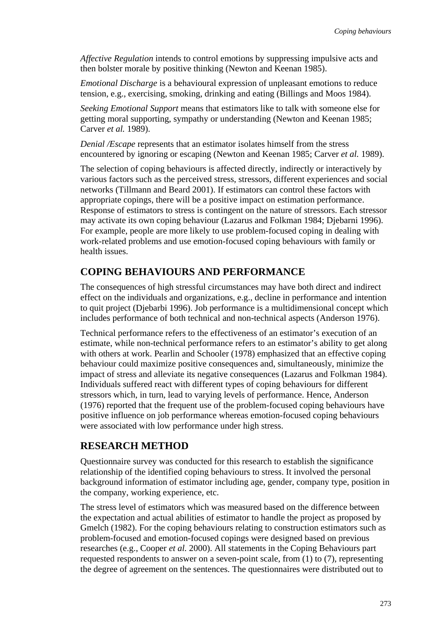*Affective Regulation* intends to control emotions by suppressing impulsive acts and then bolster morale by positive thinking (Newton and Keenan 1985).

*Emotional Discharge* is a behavioural expression of unpleasant emotions to reduce tension, e.g., exercising, smoking, drinking and eating (Billings and Moos 1984).

*Seeking Emotional Support* means that estimators like to talk with someone else for getting moral supporting, sympathy or understanding (Newton and Keenan 1985; Carver *et al.* 1989).

*Denial /Escape* represents that an estimator isolates himself from the stress encountered by ignoring or escaping (Newton and Keenan 1985; Carver *et al.* 1989).

The selection of coping behaviours is affected directly, indirectly or interactively by various factors such as the perceived stress, stressors, different experiences and social networks (Tillmann and Beard 2001). If estimators can control these factors with appropriate copings, there will be a positive impact on estimation performance. Response of estimators to stress is contingent on the nature of stressors. Each stressor may activate its own coping behaviour (Lazarus and Folkman 1984; Djebarni 1996). For example, people are more likely to use problem-focused coping in dealing with work-related problems and use emotion-focused coping behaviours with family or health issues.

### **COPING BEHAVIOURS AND PERFORMANCE**

The consequences of high stressful circumstances may have both direct and indirect effect on the individuals and organizations, e.g., decline in performance and intention to quit project (Djebarbi 1996). Job performance is a multidimensional concept which includes performance of both technical and non-technical aspects (Anderson 1976).

Technical performance refers to the effectiveness of an estimator's execution of an estimate, while non-technical performance refers to an estimator's ability to get along with others at work. Pearlin and Schooler (1978) emphasized that an effective coping behaviour could maximize positive consequences and, simultaneously, minimize the impact of stress and alleviate its negative consequences (Lazarus and Folkman 1984). Individuals suffered react with different types of coping behaviours for different stressors which, in turn, lead to varying levels of performance. Hence, Anderson (1976) reported that the frequent use of the problem-focused coping behaviours have positive influence on job performance whereas emotion-focused coping behaviours were associated with low performance under high stress.

### **RESEARCH METHOD**

Questionnaire survey was conducted for this research to establish the significance relationship of the identified coping behaviours to stress. It involved the personal background information of estimator including age, gender, company type, position in the company, working experience, etc.

The stress level of estimators which was measured based on the difference between the expectation and actual abilities of estimator to handle the project as proposed by Gmelch (1982). For the coping behaviours relating to construction estimators such as problem-focused and emotion-focused copings were designed based on previous researches (e.g., Cooper *et al.* 2000). All statements in the Coping Behaviours part requested respondents to answer on a seven-point scale, from (1) to (7), representing the degree of agreement on the sentences. The questionnaires were distributed out to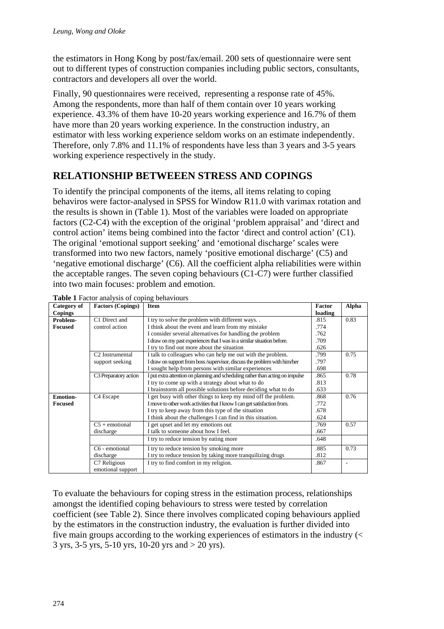the estimators in Hong Kong by post/fax/email. 200 sets of questionnaire were sent out to different types of construction companies including public sectors, consultants, contractors and developers all over the world.

Finally, 90 questionnaires were received, representing a response rate of 45%. Among the respondents, more than half of them contain over 10 years working experience. 43.3% of them have 10-20 years working experience and 16.7% of them have more than 20 years working experience. In the construction industry, an estimator with less working experience seldom works on an estimate independently. Therefore, only 7.8% and 11.1% of respondents have less than 3 years and 3-5 years working experience respectively in the study.

## **RELATIONSHIP BETWEEEN STRESS AND COPINGS**

To identify the principal components of the items, all items relating to coping behaviros were factor-analysed in SPSS for Window R11.0 with varimax rotation and the results is shown in (Table 1). Most of the variables were loaded on appropriate factors (C2-C4) with the exception of the original 'problem appraisal' and 'direct and control action' items being combined into the factor 'direct and control action' (C1). The original 'emotional support seeking' and 'emotional discharge' scales were transformed into two new factors, namely 'positive emotional discharge' (C5) and 'negative emotional discharge' (C6). All the coefficient alpha reliabilities were within the acceptable ranges. The seven coping behaviours (C1-C7) were further classified into two main focuses: problem and emotion.

| Category of     | <b>Factors (Copings)</b>          | <b>Item</b>                                                                    | Factor  | Alpha                        |
|-----------------|-----------------------------------|--------------------------------------------------------------------------------|---------|------------------------------|
| <b>Copings</b>  |                                   |                                                                                | loading |                              |
| Problem-        | C1 Direct and                     | I try to solve the problem with different ways                                 | .815    | 0.83                         |
| <b>Focused</b>  | control action                    | I think about the event and learn from my mistake                              | .774    |                              |
|                 |                                   | I consider several alternatives for handling the problem                       | .762    |                              |
|                 |                                   | I draw on my past experiences that I was in a similar situation before.        | .709    |                              |
|                 |                                   | I try to find out more about the situation                                     | .626    |                              |
|                 | C <sub>2</sub> Instrumental       | I talk to colleagues who can help me out with the problem.                     | .799    | 0.75                         |
|                 | support seeking                   | I draw on support from boss /supervisor, discuss the problem with him/her      | .797    |                              |
|                 |                                   | I sought help from persons with similar experiences                            | .698    |                              |
|                 | C <sub>3</sub> Preparatory action | I put extra attention on planning and scheduling rather than acting on impulse | .865    | 0.78                         |
|                 |                                   | I try to come up with a strategy about what to do                              | .813    |                              |
|                 |                                   | I brainstorm all possible solutions before deciding what to do                 | .633    |                              |
| <b>Emotion-</b> | C <sub>4</sub> Escape             | I get busy with other things to keep my mind off the problem.                  | .868    | 0.76                         |
| <b>Focused</b>  |                                   | I move to other work activities that I know I can get satisfaction from.       | .772    |                              |
|                 |                                   | I try to keep away from this type of the situation                             | .678    |                              |
|                 |                                   | I think about the challenges I can find in this situation.                     | .624    |                              |
|                 | $C5 +$ emotional                  | I get upset and let my emotions out                                            | .769    | 0.57                         |
|                 | discharge                         | I talk to someone about how I feel.                                            | .667    |                              |
|                 |                                   | I try to reduce tension by eating more                                         | .648    |                              |
|                 | C6 - emotional                    | I try to reduce tension by smoking more                                        | .885    | 0.73                         |
|                 | discharge                         | I try to reduce tension by taking more tranquilizing drugs                     | .812    |                              |
|                 | C7 Religious                      | I try to find comfort in my religion.                                          | .867    | $\qquad \qquad \blacksquare$ |
|                 | emotional support                 |                                                                                |         |                              |

**Table 1** Factor analysis of coping behaviours

To evaluate the behaviours for coping stress in the estimation process, relationships amongst the identified coping behaviours to stress were tested by correlation coefficient (see Table 2). Since there involves complicated coping behaviours applied by the estimators in the construction industry, the evaluation is further divided into five main groups according to the working experiences of estimators in the industry (< 3 yrs,  $3-5$  yrs,  $5-10$  yrs,  $10-20$  yrs and  $> 20$  yrs).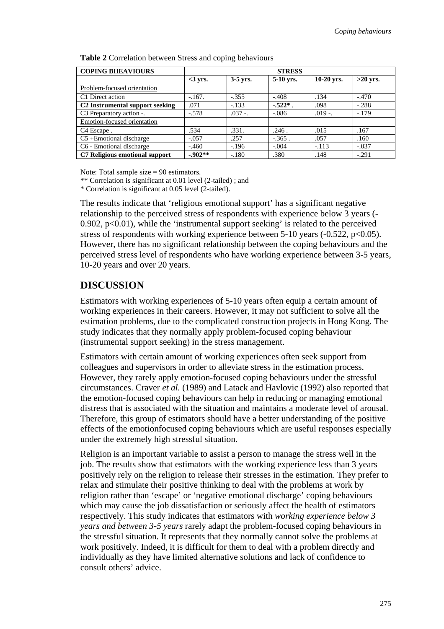| <b>COPING BHEAVIOURS</b>                    | <b>STRESS</b> |            |            |              |            |
|---------------------------------------------|---------------|------------|------------|--------------|------------|
|                                             | $<$ 3 yrs.    | $3-5$ yrs. | 5-10 yrs.  | $10-20$ yrs. | $>20$ yrs. |
| Problem-focused orientation                 |               |            |            |              |            |
| C1 Direct action                            | $-167.$       | $-.355$    | $-.408$    | .134         | $-.470$    |
| C <sub>2</sub> Instrumental support seeking | .071          | $-.133$    | $-.522*$ . | .098         | $-.288$    |
| C3 Preparatory action -.                    | $-.578$       | $.037-.$   | $-.086$    | $.019-.$     | $-.179$    |
| Emotion-focused orientation                 |               |            |            |              |            |
| C <sub>4</sub> Escape.                      | .534          | .331.      | .246.      | .015         | .167       |
| $C5 +$ Emotional discharge                  | $-.057$       | .257       | $-.365$ .  | .057         | .160       |
| C6 - Emotional discharge                    | $-.460$       | $-.196$    | $-.004$    | $-.113$      | $-.037$    |
| C7 Religious emotional support              | $-.902**$     | $-.180$    | .380       | .148         | $-.291$    |

**Table 2** Correlation between Stress and coping behaviours

Note: Total sample size = 90 estimators.

\*\* Correlation is significant at 0.01 level (2-tailed) ; and

\* Correlation is significant at 0.05 level (2-tailed).

The results indicate that 'religious emotional support' has a significant negative relationship to the perceived stress of respondents with experience below 3 years (- 0.902,  $p<0.01$ , while the 'instrumental support seeking' is related to the perceived stress of respondents with working experience between  $5-10$  years ( $-0.522$ ,  $p<0.05$ ). However, there has no significant relationship between the coping behaviours and the perceived stress level of respondents who have working experience between 3-5 years, 10-20 years and over 20 years.

### **DISCUSSION**

Estimators with working experiences of 5-10 years often equip a certain amount of working experiences in their careers. However, it may not sufficient to solve all the estimation problems, due to the complicated construction projects in Hong Kong. The study indicates that they normally apply problem-focused coping behaviour (instrumental support seeking) in the stress management.

Estimators with certain amount of working experiences often seek support from colleagues and supervisors in order to alleviate stress in the estimation process. However, they rarely apply emotion-focused coping behaviours under the stressful circumstances. Craver *et al.* (1989) and Latack and Havlovic (1992) also reported that the emotion-focused coping behaviours can help in reducing or managing emotional distress that is associated with the situation and maintains a moderate level of arousal. Therefore, this group of estimators should have a better understanding of the positive effects of the emotionfocused coping behaviours which are useful responses especially under the extremely high stressful situation.

Religion is an important variable to assist a person to manage the stress well in the job. The results show that estimators with the working experience less than 3 years positively rely on the religion to release their stresses in the estimation. They prefer to relax and stimulate their positive thinking to deal with the problems at work by religion rather than 'escape' or 'negative emotional discharge' coping behaviours which may cause the job dissatisfaction or seriously affect the health of estimators respectively. This study indicates that estimators with *working experience below 3 years and between 3-5 years* rarely adapt the problem-focused coping behaviours in the stressful situation. It represents that they normally cannot solve the problems at work positively. Indeed, it is difficult for them to deal with a problem directly and individually as they have limited alternative solutions and lack of confidence to consult others' advice.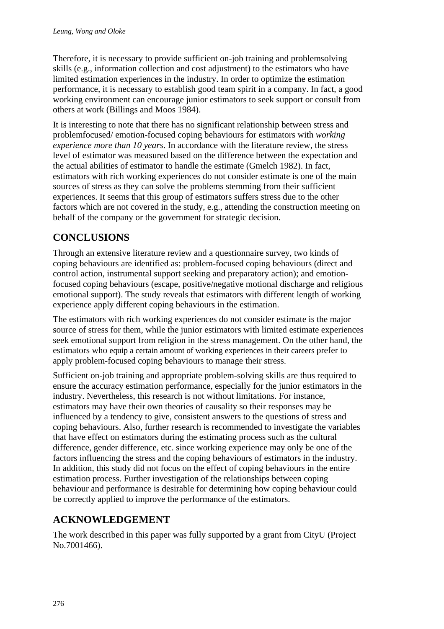Therefore, it is necessary to provide sufficient on-job training and problemsolving skills (e.g., information collection and cost adjustment) to the estimators who have limited estimation experiences in the industry. In order to optimize the estimation performance, it is necessary to establish good team spirit in a company. In fact, a good working environment can encourage junior estimators to seek support or consult from others at work (Billings and Moos 1984).

It is interesting to note that there has no significant relationship between stress and problemfocused/ emotion-focused coping behaviours for estimators with *working experience more than 10 years*. In accordance with the literature review, the stress level of estimator was measured based on the difference between the expectation and the actual abilities of estimator to handle the estimate (Gmelch 1982). In fact, estimators with rich working experiences do not consider estimate is one of the main sources of stress as they can solve the problems stemming from their sufficient experiences. It seems that this group of estimators suffers stress due to the other factors which are not covered in the study, e.g., attending the construction meeting on behalf of the company or the government for strategic decision.

## **CONCLUSIONS**

Through an extensive literature review and a questionnaire survey, two kinds of coping behaviours are identified as: problem-focused coping behaviours (direct and control action, instrumental support seeking and preparatory action); and emotionfocused coping behaviours (escape, positive/negative motional discharge and religious emotional support). The study reveals that estimators with different length of working experience apply different coping behaviours in the estimation.

The estimators with rich working experiences do not consider estimate is the major source of stress for them, while the junior estimators with limited estimate experiences seek emotional support from religion in the stress management. On the other hand, the estimators who equip a certain amount of working experiences in their careers prefer to apply problem-focused coping behaviours to manage their stress.

Sufficient on-job training and appropriate problem-solving skills are thus required to ensure the accuracy estimation performance, especially for the junior estimators in the industry. Nevertheless, this research is not without limitations. For instance, estimators may have their own theories of causality so their responses may be influenced by a tendency to give, consistent answers to the questions of stress and coping behaviours. Also, further research is recommended to investigate the variables that have effect on estimators during the estimating process such as the cultural difference, gender difference, etc. since working experience may only be one of the factors influencing the stress and the coping behaviours of estimators in the industry. In addition, this study did not focus on the effect of coping behaviours in the entire estimation process. Further investigation of the relationships between coping behaviour and performance is desirable for determining how coping behaviour could be correctly applied to improve the performance of the estimators.

# **ACKNOWLEDGEMENT**

The work described in this paper was fully supported by a grant from CityU (Project No.7001466).